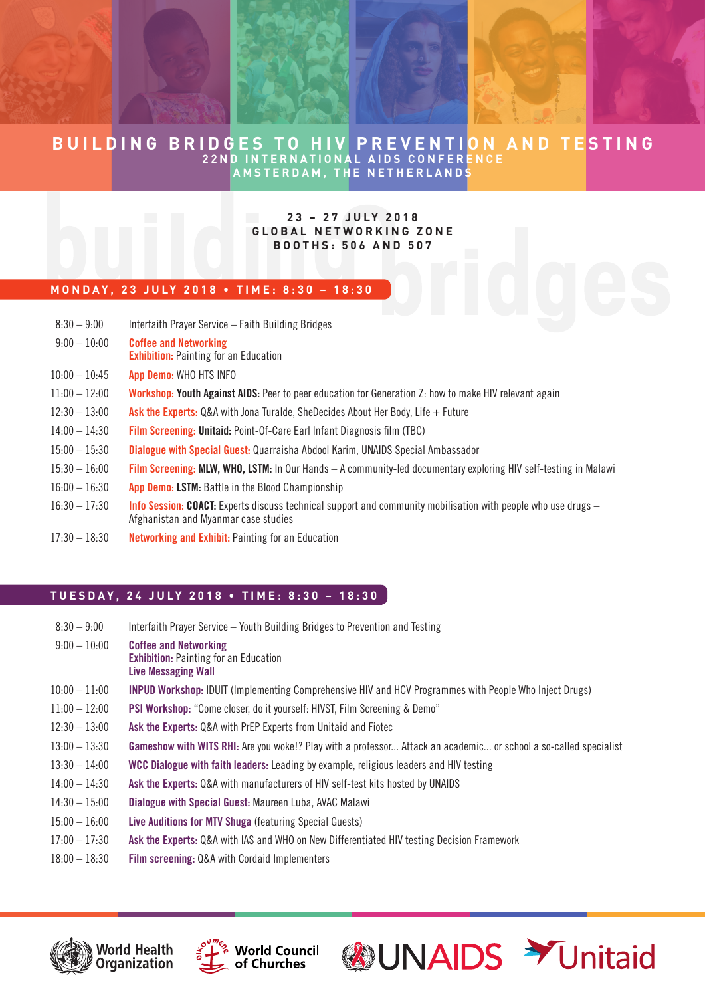# **BUILDING BRIDGES TO HIV PREVENTION AND TESTING 22ND INTERNATIONAL AIDS CONFERENCE AMSTERDAM, THE NETHERLANDS**

### **23 – 27 JULY 2018 GLOBAL NETWORKING ZONE BOOTHS: 506 AND 507**

### **MONDAY, 23 JULY 2018 • TIME: 8:30 – 18:30**

| $8:30 - 9:00$   | Interfaith Prayer Service - Faith Building Bridges                                                                                                             |
|-----------------|----------------------------------------------------------------------------------------------------------------------------------------------------------------|
| $9:00 - 10:00$  | <b>Coffee and Networking</b><br><b>Exhibition:</b> Painting for an Education                                                                                   |
| $10:00 - 10:45$ | App Demo: WHO HTS INFO                                                                                                                                         |
| $11:00 - 12:00$ | Workshop: Youth Against AIDS: Peer to peer education for Generation Z: how to make HIV relevant again                                                          |
| $12:30 - 13:00$ | <b>Ask the Experts:</b> Q&A with Jona Turalde, SheDecides About Her Body, Life $+$ Future                                                                      |
| $14:00 - 14:30$ | <b>Film Screening: Unitaid:</b> Point-Of-Care Earl Infant Diagnosis film (TBC)                                                                                 |
| $15:00 - 15:30$ | <b>Dialogue with Special Guest: Quarraisha Abdool Karim, UNAIDS Special Ambassador</b>                                                                         |
| $15:30 - 16:00$ | Film Screening: MLW, WHO, LSTM: In Our Hands – A community-led documentary exploring HIV self-testing in Malawi                                                |
| $16:00 - 16:30$ | App Demo: LSTM: Battle in the Blood Championship                                                                                                               |
| $16:30 - 17:30$ | <b>Info Session: COACT:</b> Experts discuss technical support and community mobilisation with people who use drugs $-$<br>Afghanistan and Myanmar case studies |
| $17:30 - 18:30$ | <b>Networking and Exhibit: Painting for an Education</b>                                                                                                       |

**TUESDAY, 24 JULY 2018 • TIME: 8:30 – 18:30**

| $8:30 - 9:00$   | Interfaith Prayer Service - Youth Building Bridges to Prevention and Testing                                     |
|-----------------|------------------------------------------------------------------------------------------------------------------|
| $9:00 - 10:00$  | <b>Coffee and Networking</b><br><b>Exhibition:</b> Painting for an Education<br><b>Live Messaging Wall</b>       |
| $10:00 - 11:00$ | <b>INPUD Workshop: IDUIT (Implementing Comprehensive HIV and HCV Programmes with People Who Inject Drugs)</b>    |
| $11:00 - 12:00$ | PSI Workshop: "Come closer, do it yourself: HIVST, Film Screening & Demo"                                        |
| $12:30 - 13:00$ | Ask the Experts: Q&A with PrEP Experts from Unitaid and Fiotec                                                   |
| $13:00 - 13:30$ | Gameshow with WITS RHI: Are you woke!? Play with a professor Attack an academic or school a so-called specialist |
| $13:30 - 14:00$ | WCC Dialogue with faith leaders: Leading by example, religious leaders and HIV testing                           |
| $14:00 - 14:30$ | Ask the Experts: Q&A with manufacturers of HIV self-test kits hosted by UNAIDS                                   |
| $14:30 - 15:00$ | Dialogue with Special Guest: Maureen Luba, AVAC Malawi                                                           |
| $15:00 - 16:00$ | Live Auditions for MTV Shuga (featuring Special Guests)                                                          |
| $17:00 - 17:30$ | Ask the Experts: Q&A with IAS and WHO on New Differentiated HIV testing Decision Framework                       |
| $18:00 - 18:30$ | Film screening: Q&A with Cordaid Implementers                                                                    |

**WUNAIDS > Unitaid**